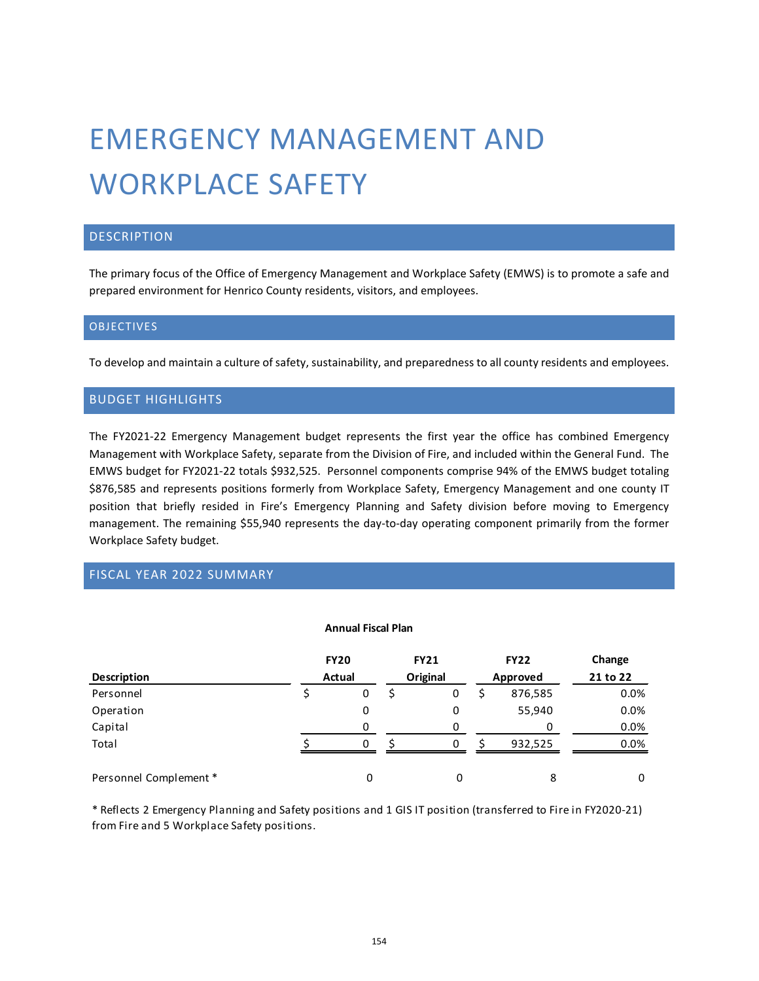# EMERGENCY MANAGEMENT AND WORKPLACE SAFETY

# **DESCRIPTION**

The primary focus of the Office of Emergency Management and Workplace Safety (EMWS) is to promote a safe and prepared environment for Henrico County residents, visitors, and employees.

### **OBJECTIVES**

To develop and maintain a culture of safety, sustainability, and preparedness to all county residents and employees.

### BUDGET HIGHLIGHTS

The FY2021-22 Emergency Management budget represents the first year the office has combined Emergency Management with Workplace Safety, separate from the Division of Fire, and included within the General Fund. The EMWS budget for FY2021-22 totals \$932,525. Personnel components comprise 94% of the EMWS budget totaling \$876,585 and represents positions formerly from Workplace Safety, Emergency Management and one county IT position that briefly resided in Fire's Emergency Planning and Safety division before moving to Emergency management. The remaining \$55,940 represents the day-to-day operating component primarily from the former Workplace Safety budget.

# FISCAL YEAR 2022 SUMMARY

#### **Annual Fiscal Plan**

|                       | <b>FY20</b><br>Actual |   | <b>FY21</b><br>Original |   | <b>FY22</b> | Change   |  |  |
|-----------------------|-----------------------|---|-------------------------|---|-------------|----------|--|--|
| <b>Description</b>    |                       |   |                         |   | Approved    | 21 to 22 |  |  |
| Personnel             |                       | 0 |                         | 0 | 876,585     | 0.0%     |  |  |
| Operation             |                       | 0 |                         | 0 | 55,940      | 0.0%     |  |  |
| Capital               |                       |   |                         |   |             | 0.0%     |  |  |
| Total                 |                       | 0 |                         |   | 932,525     | 0.0%     |  |  |
| Personnel Complement* |                       |   |                         |   | 8           | 0        |  |  |

\* Reflects 2 Emergency Planning and Safety positions and 1 GIS IT position (transferred to Fire in FY2020-21) from Fire and 5 Workplace Safety positions.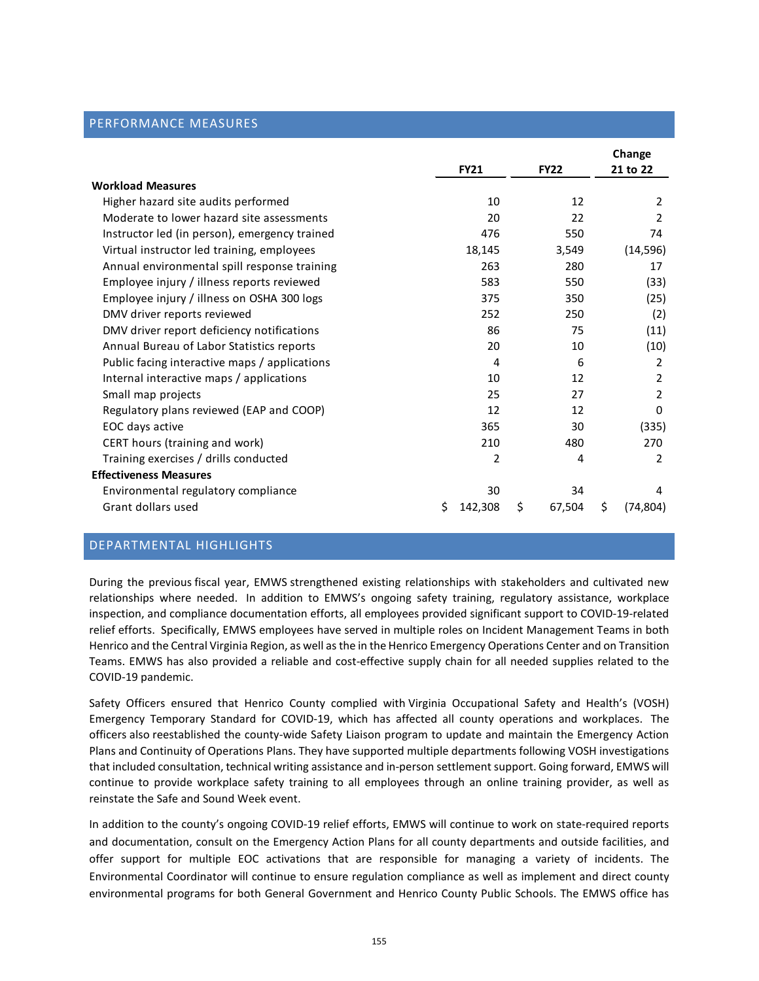#### PERFORMANCE MEASURES

|                                               |   |             |              | Change          |
|-----------------------------------------------|---|-------------|--------------|-----------------|
|                                               |   | <b>FY21</b> | <b>FY22</b>  | 21 to 22        |
| <b>Workload Measures</b>                      |   |             |              |                 |
| Higher hazard site audits performed           |   | 10          | 12           | 2               |
| Moderate to lower hazard site assessments     |   | 20          | 22           | $\mathcal{P}$   |
| Instructor led (in person), emergency trained |   | 476         | 550          | 74              |
| Virtual instructor led training, employees    |   | 18,145      | 3,549        | (14, 596)       |
| Annual environmental spill response training  |   | 263         | 280          | 17              |
| Employee injury / illness reports reviewed    |   | 583         | 550          | (33)            |
| Employee injury / illness on OSHA 300 logs    |   | 375         | 350          | (25)            |
| DMV driver reports reviewed                   |   | 252         | 250          | (2)             |
| DMV driver report deficiency notifications    |   | 86          | 75           | (11)            |
| Annual Bureau of Labor Statistics reports     |   | 20          | 10           | (10)            |
| Public facing interactive maps / applications |   | 4           | 6            | 2               |
| Internal interactive maps / applications      |   | 10          | 12           | 2               |
| Small map projects                            |   | 25          | 27           | 2               |
| Regulatory plans reviewed (EAP and COOP)      |   | 12          | 12           | 0               |
| EOC days active                               |   | 365         | 30           | (335)           |
| CERT hours (training and work)                |   | 210         | 480          | 270             |
| Training exercises / drills conducted         |   | 2           | 4            | 2               |
| <b>Effectiveness Measures</b>                 |   |             |              |                 |
| Environmental regulatory compliance           |   | 30          | 34           | 4               |
| Grant dollars used                            | Ś | 142,308     | \$<br>67,504 | \$<br>(74, 804) |

## DEPARTMENTAL HIGHLIGHTS

During the previous fiscal year, EMWS strengthened existing relationships with stakeholders and cultivated new relationships where needed. In addition to EMWS's ongoing safety training, regulatory assistance, workplace inspection, and compliance documentation efforts, all employees provided significant support to COVID-19-related relief efforts. Specifically, EMWS employees have served in multiple roles on Incident Management Teams in both Henrico and the Central Virginia Region, as well as the in the Henrico Emergency Operations Center and on Transition Teams. EMWS has also provided a reliable and cost-effective supply chain for all needed supplies related to the COVID-19 pandemic.

Safety Officers ensured that Henrico County complied with Virginia Occupational Safety and Health's (VOSH) Emergency Temporary Standard for COVID-19, which has affected all county operations and workplaces. The officers also reestablished the county-wide Safety Liaison program to update and maintain the Emergency Action Plans and Continuity of Operations Plans. They have supported multiple departments following VOSH investigations that included consultation, technical writing assistance and in-person settlement support. Going forward, EMWS will continue to provide workplace safety training to all employees through an online training provider, as well as reinstate the Safe and Sound Week event.

In addition to the county's ongoing COVID-19 relief efforts, EMWS will continue to work on state-required reports and documentation, consult on the Emergency Action Plans for all county departments and outside facilities, and offer support for multiple EOC activations that are responsible for managing a variety of incidents. The Environmental Coordinator will continue to ensure regulation compliance as well as implement and direct county environmental programs for both General Government and Henrico County Public Schools. The EMWS office has